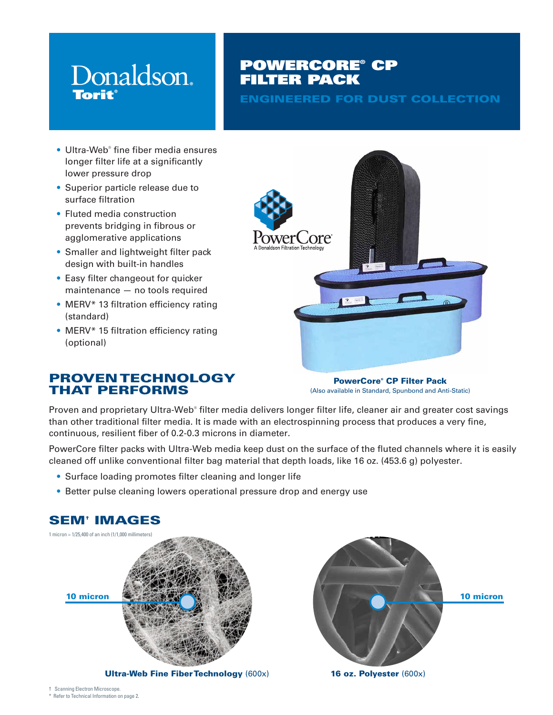# Donaldson. **Torit**

# POWERCORE® CP FILTER PACK

ENGINEERED FOR DUST COLLECTION

- Ultra-Web® fine fiber media ensures longer filter life at a significantly lower pressure drop
- Superior particle release due to surface filtration
- Fluted media construction prevents bridging in fibrous or agglomerative applications
- Smaller and lightweight filter pack design with built-in handles
- Easy filter changeout for quicker maintenance — no tools required
- MERV\* 13 filtration efficiency rating (standard)
- MERV<sup>\*</sup> 15 filtration efficiency rating (optional)



PowerCore® CP Filter Pack (Also available in Standard, Spunbond and Anti-Static)

Proven and proprietary Ultra-Web® filter media delivers longer filter life, cleaner air and greater cost savings than other traditional filter media. It is made with an electrospinning process that produces a very fine, continuous, resilient fiber of 0.2-0.3 microns in diameter.

PowerCore filter packs with Ultra-Web media keep dust on the surface of the fluted channels where it is easily cleaned off unlike conventional filter bag material that depth loads, like 16 oz. (453.6 g) polyester.

- Surface loading promotes filter cleaning and longer life
- Better pulse cleaning lowers operational pressure drop and energy use



Ultra-Web Fine Fiber Technology (600x)



16 oz. Polyester (600x)

# SEM† IMAGES

† Scanning Electron Microscope. \* Refer to Technical Information on page 2.

THAT PERFORMS

PROVEN TECHNOLOGY